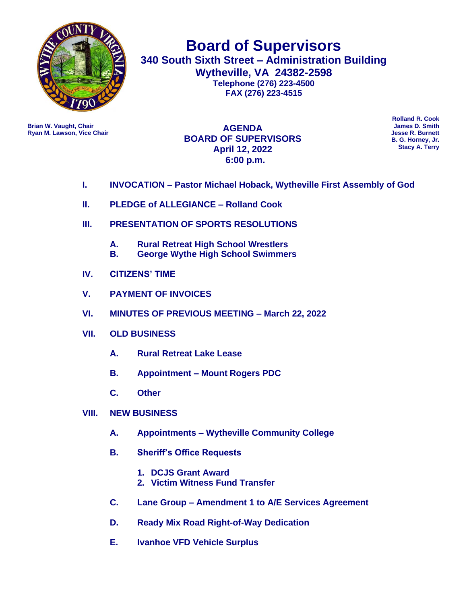

**Board of Supervisors 340 South Sixth Street – Administration Building Wytheville, VA 24382-2598 Telephone (276) 223-4500 FAX (276) 223-4515**

**Ryan M. Lawson, Vice Chair** 

**Brian W. Vaught, Chair James D. Smith AGENDA BOARD OF SUPERVISORS April 12, 2022 6:00 p.m.**

**Rolland R. Cook B. G. Horney, Jr. Stacy A. Terry**

- **I. INVOCATION – Pastor Michael Hoback, Wytheville First Assembly of God**
- **II. PLEDGE of ALLEGIANCE – Rolland Cook**
- **III. PRESENTATION OF SPORTS RESOLUTIONS**
	- **A. Rural Retreat High School Wrestlers**
	- **B. George Wythe High School Swimmers**
- **IV. CITIZENS' TIME**
- **V. PAYMENT OF INVOICES**
- **VI. MINUTES OF PREVIOUS MEETING – March 22, 2022**
- **VII. OLD BUSINESS**
	- **A. Rural Retreat Lake Lease**
	- **B. Appointment – Mount Rogers PDC**
	- **C. Other**
- **VIII. NEW BUSINESS** 
	- **A. Appointments – Wytheville Community College**
	- **B. Sheriff's Office Requests**
		- **1. DCJS Grant Award**
		- **2. Victim Witness Fund Transfer**
	- **C. Lane Group – Amendment 1 to A/E Services Agreement**
	- **D. Ready Mix Road Right-of-Way Dedication**
	- **E. Ivanhoe VFD Vehicle Surplus**